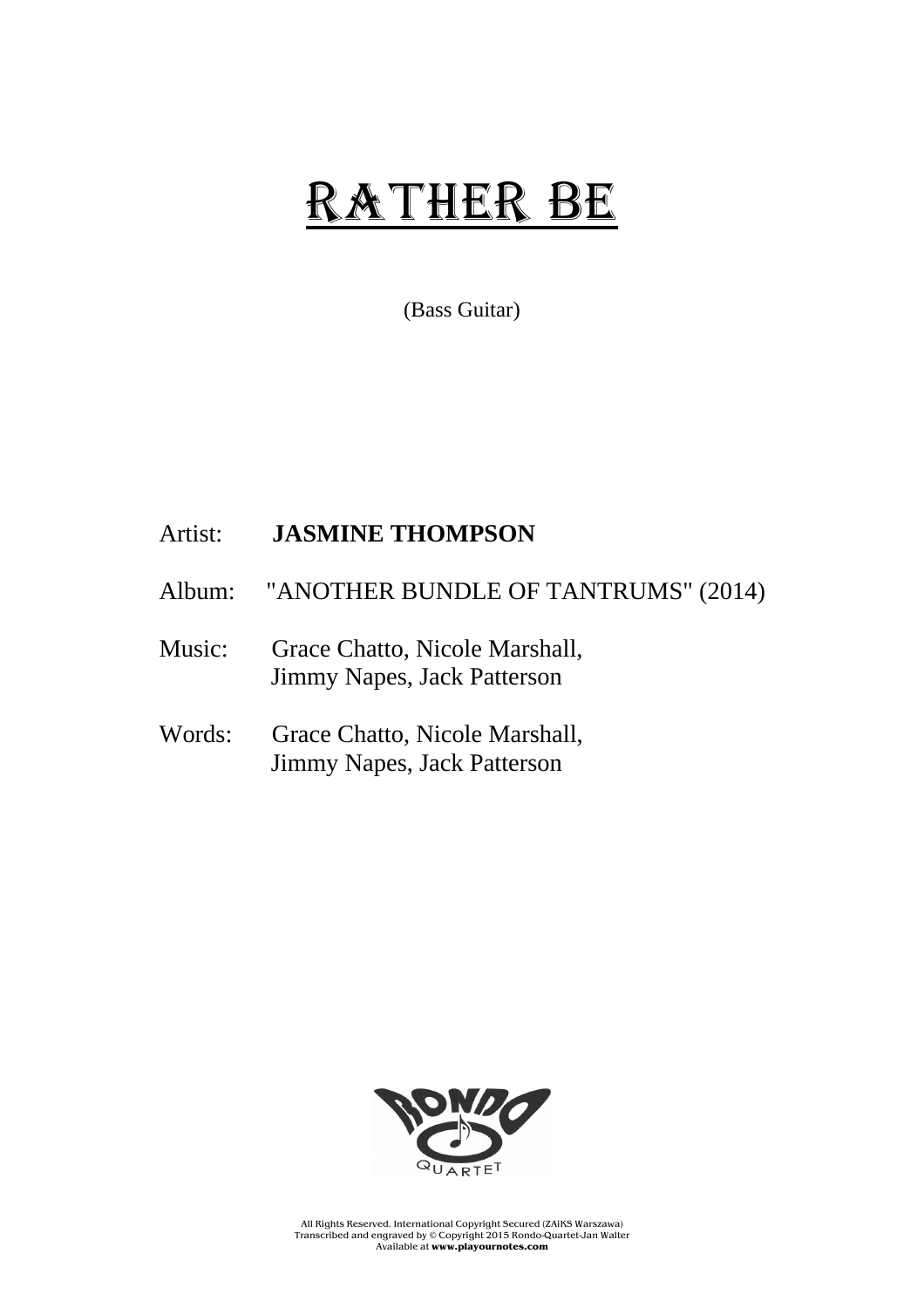## RATHER BE

(Bass Guitar)

## Artist: **JASMINE THOMPSON**

- Album: "ANOTHER BUNDLE OF TANTRUMS" (2014)
- Music: Grace Chatto, Nicole Marshall, Jimmy Napes, Jack Patterson
- Words: Grace Chatto, Nicole Marshall, Jimmy Napes, Jack Patterson



All Rights Reserved. International Copyright Secured (ZAiKS Warszawa) Transcribed and engraved by © Copyright 2015 Rondo-Quartet-Jan Walter Available at **www.playournotes.com**